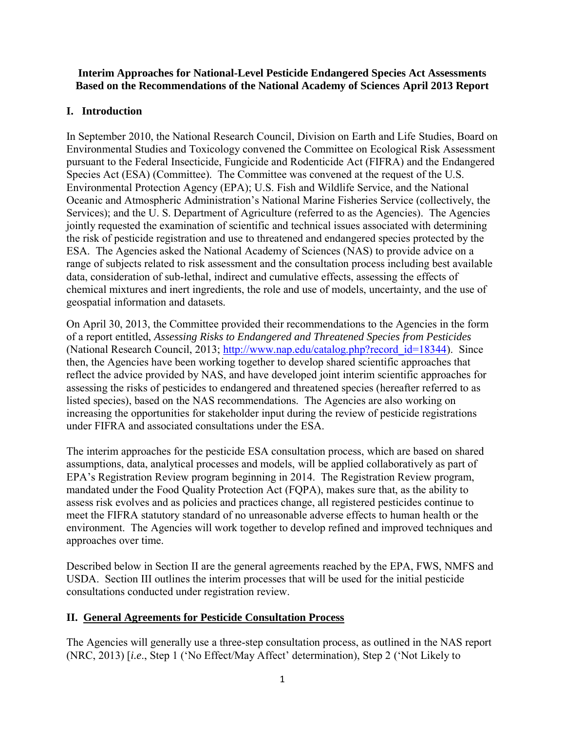#### **Interim Approaches for National-Level Pesticide Endangered Species Act Assessments Based on the Recommendations of the National Academy of Sciences April 2013 Report**

# **I. Introduction**

In September 2010, the National Research Council, Division on Earth and Life Studies, Board on Environmental Studies and Toxicology convened the Committee on Ecological Risk Assessment pursuant to the Federal Insecticide, Fungicide and Rodenticide Act (FIFRA) and the Endangered Species Act (ESA) (Committee). The Committee was convened at the request of the U.S. Environmental Protection Agency (EPA); U.S. Fish and Wildlife Service, and the National Oceanic and Atmospheric Administration's National Marine Fisheries Service (collectively, the Services); and the U. S. Department of Agriculture (referred to as the Agencies). The Agencies jointly requested the examination of scientific and technical issues associated with determining the risk of pesticide registration and use to threatened and endangered species protected by the ESA. The Agencies asked the National Academy of Sciences (NAS) to provide advice on a range of subjects related to risk assessment and the consultation process including best available data, consideration of sub-lethal, indirect and cumulative effects, assessing the effects of chemical mixtures and inert ingredients, the role and use of models, uncertainty, and the use of geospatial information and datasets.

On April 30, 2013, the Committee provided their recommendations to the Agencies in the form of a report entitled, *Assessing Risks to Endangered and Threatened Species from Pesticides*  (National Research Council, 2013; [http://www.nap.edu/catalog.php?record\\_id=18344\)](http://www.nap.edu/catalog.php?record_id=18344). Since then, the Agencies have been working together to develop shared scientific approaches that reflect the advice provided by NAS, and have developed joint interim scientific approaches for assessing the risks of pesticides to endangered and threatened species (hereafter referred to as listed species), based on the NAS recommendations. The Agencies are also working on increasing the opportunities for stakeholder input during the review of pesticide registrations under FIFRA and associated consultations under the ESA.

The interim approaches for the pesticide ESA consultation process, which are based on shared assumptions, data, analytical processes and models, will be applied collaboratively as part of EPA's Registration Review program beginning in 2014. The Registration Review program, mandated under the Food Quality Protection Act (FQPA), makes sure that, as the ability to assess risk evolves and as policies and practices change, all registered pesticides continue to meet the FIFRA statutory standard of no unreasonable adverse effects to human health or the environment. The Agencies will work together to develop refined and improved techniques and approaches over time.

Described below in Section II are the general agreements reached by the EPA, FWS, NMFS and USDA. Section III outlines the interim processes that will be used for the initial pesticide consultations conducted under registration review.

### **II. General Agreements for Pesticide Consultation Process**

The Agencies will generally use a three-step consultation process, as outlined in the NAS report (NRC, 2013) [*i.e*., Step 1 ('No Effect/May Affect' determination), Step 2 ('Not Likely to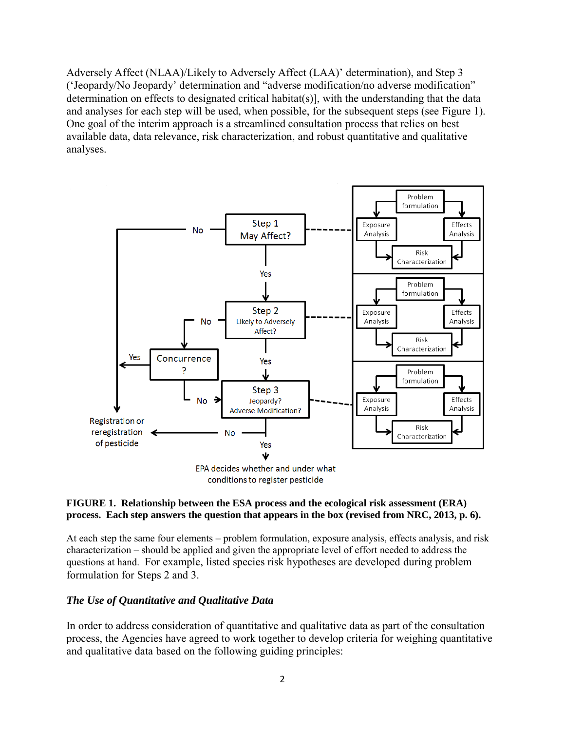Adversely Affect (NLAA)/Likely to Adversely Affect (LAA)' determination), and Step 3 ('Jeopardy/No Jeopardy' determination and "adverse modification/no adverse modification" determination on effects to designated critical habitat(s)], with the understanding that the data and analyses for each step will be used, when possible, for the subsequent steps (see Figure 1). One goal of the interim approach is a streamlined consultation process that relies on best available data, data relevance, risk characterization, and robust quantitative and qualitative analyses.



conditions to register pesticide

#### **FIGURE 1. Relationship between the ESA process and the ecological risk assessment (ERA) process. Each step answers the question that appears in the box (revised from NRC, 2013, p. 6).**

At each step the same four elements – problem formulation, exposure analysis, effects analysis, and risk characterization – should be applied and given the appropriate level of effort needed to address the questions at hand. For example, listed species risk hypotheses are developed during problem formulation for Steps 2 and 3.

#### *The Use of Quantitative and Qualitative Data*

In order to address consideration of quantitative and qualitative data as part of the consultation process, the Agencies have agreed to work together to develop criteria for weighing quantitative and qualitative data based on the following guiding principles: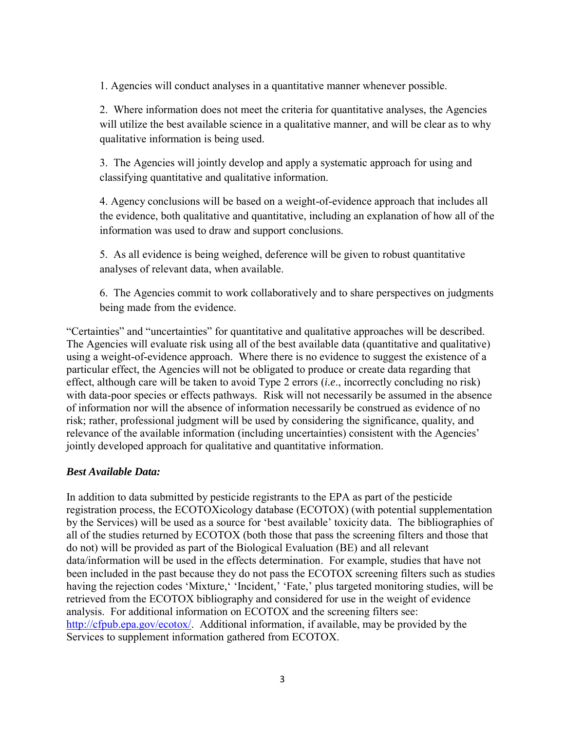1. Agencies will conduct analyses in a quantitative manner whenever possible.

2. Where information does not meet the criteria for quantitative analyses, the Agencies will utilize the best available science in a qualitative manner, and will be clear as to why qualitative information is being used.

3. The Agencies will jointly develop and apply a systematic approach for using and classifying quantitative and qualitative information.

4. Agency conclusions will be based on a weight-of-evidence approach that includes all the evidence, both qualitative and quantitative, including an explanation of how all of the information was used to draw and support conclusions.

5. As all evidence is being weighed, deference will be given to robust quantitative analyses of relevant data, when available.

6. The Agencies commit to work collaboratively and to share perspectives on judgments being made from the evidence.

"Certainties" and "uncertainties" for quantitative and qualitative approaches will be described. The Agencies will evaluate risk using all of the best available data (quantitative and qualitative) using a weight-of-evidence approach. Where there is no evidence to suggest the existence of a particular effect, the Agencies will not be obligated to produce or create data regarding that effect, although care will be taken to avoid Type 2 errors (*i.e*., incorrectly concluding no risk) with data-poor species or effects pathways. Risk will not necessarily be assumed in the absence of information nor will the absence of information necessarily be construed as evidence of no risk; rather, professional judgment will be used by considering the significance, quality, and relevance of the available information (including uncertainties) consistent with the Agencies' jointly developed approach for qualitative and quantitative information.

### *Best Available Data:*

In addition to data submitted by pesticide registrants to the EPA as part of the pesticide registration process, the ECOTOXicology database (ECOTOX) (with potential supplementation by the Services) will be used as a source for 'best available' toxicity data. The bibliographies of all of the studies returned by ECOTOX (both those that pass the screening filters and those that do not) will be provided as part of the Biological Evaluation (BE) and all relevant data/information will be used in the effects determination. For example, studies that have not been included in the past because they do not pass the ECOTOX screening filters such as studies having the rejection codes 'Mixture,' 'Incident,' 'Fate,' plus targeted monitoring studies, will be retrieved from the ECOTOX bibliography and considered for use in the weight of evidence analysis. For additional information on ECOTOX and the screening filters see: [http://cfpub.epa.gov/ecotox/.](http://cfpub.epa.gov/ecotox/) Additional information, if available, may be provided by the Services to supplement information gathered from ECOTOX.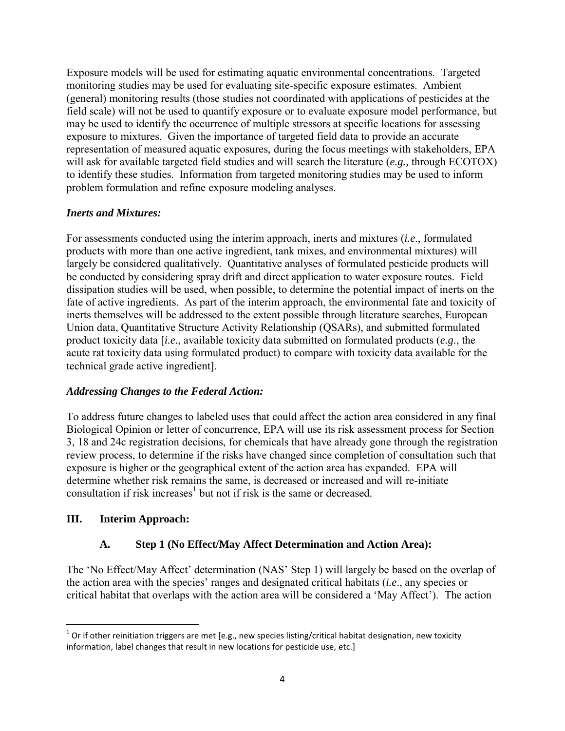Exposure models will be used for estimating aquatic environmental concentrations. Targeted monitoring studies may be used for evaluating site-specific exposure estimates. Ambient (general) monitoring results (those studies not coordinated with applications of pesticides at the field scale) will not be used to quantify exposure or to evaluate exposure model performance, but may be used to identify the occurrence of multiple stressors at specific locations for assessing exposure to mixtures. Given the importance of targeted field data to provide an accurate representation of measured aquatic exposures, during the focus meetings with stakeholders, EPA will ask for available targeted field studies and will search the literature (*e.g.,* through ECOTOX) to identify these studies. Information from targeted monitoring studies may be used to inform problem formulation and refine exposure modeling analyses.

### *Inerts and Mixtures:*

For assessments conducted using the interim approach, inerts and mixtures (*i.e*., formulated products with more than one active ingredient, tank mixes, and environmental mixtures) will largely be considered qualitatively. Quantitative analyses of formulated pesticide products will be conducted by considering spray drift and direct application to water exposure routes. Field dissipation studies will be used, when possible, to determine the potential impact of inerts on the fate of active ingredients. As part of the interim approach, the environmental fate and toxicity of inerts themselves will be addressed to the extent possible through literature searches, European Union data, Quantitative Structure Activity Relationship (QSARs), and submitted formulated product toxicity data [*i.e.*, available toxicity data submitted on formulated products (*e.g*., the acute rat toxicity data using formulated product) to compare with toxicity data available for the technical grade active ingredient].

### *Addressing Changes to the Federal Action:*

To address future changes to labeled uses that could affect the action area considered in any final Biological Opinion or letter of concurrence, EPA will use its risk assessment process for Section 3, 18 and 24c registration decisions, for chemicals that have already gone through the registration review process, to determine if the risks have changed since completion of consultation such that exposure is higher or the geographical extent of the action area has expanded. EPA will determine whether risk remains the same, is decreased or increased and will re-initiate consultation if risk increases<sup>1</sup> but not if risk is the same or decreased.

### **III. Interim Approach:**

 $\overline{\phantom{a}}$ 

### **A. Step 1 (No Effect/May Affect Determination and Action Area):**

The 'No Effect/May Affect' determination (NAS' Step 1) will largely be based on the overlap of the action area with the species' ranges and designated critical habitats (*i.e*., any species or critical habitat that overlaps with the action area will be considered a 'May Affect'). The action

 $^1$  Or if other reinitiation triggers are met [e.g., new species listing/critical habitat designation, new toxicity information, label changes that result in new locations for pesticide use, etc.]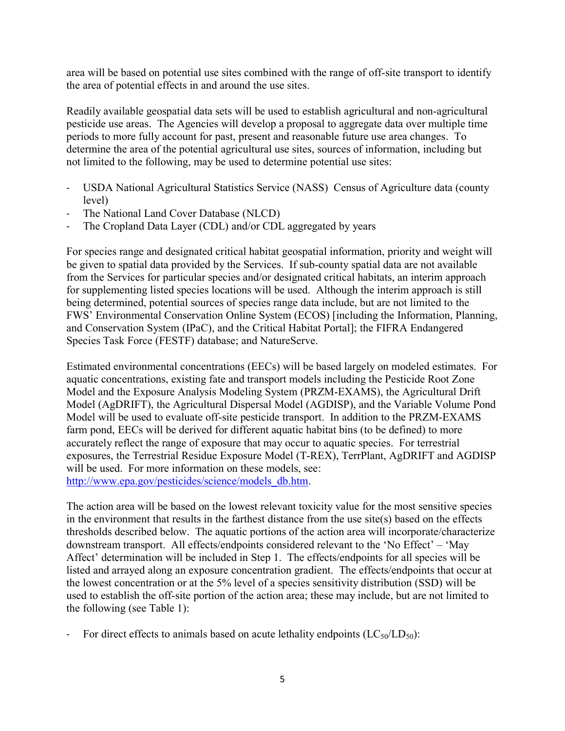area will be based on potential use sites combined with the range of off-site transport to identify the area of potential effects in and around the use sites.

Readily available geospatial data sets will be used to establish agricultural and non-agricultural pesticide use areas. The Agencies will develop a proposal to aggregate data over multiple time periods to more fully account for past, present and reasonable future use area changes. To determine the area of the potential agricultural use sites, sources of information, including but not limited to the following, may be used to determine potential use sites:

- USDA National Agricultural Statistics Service (NASS) Census of Agriculture data (county level)
- The National Land Cover Database (NLCD)
- The Cropland Data Layer (CDL) and/or CDL aggregated by years

For species range and designated critical habitat geospatial information, priority and weight will be given to spatial data provided by the Services. If sub-county spatial data are not available from the Services for particular species and/or designated critical habitats, an interim approach for supplementing listed species locations will be used. Although the interim approach is still being determined, potential sources of species range data include, but are not limited to the FWS' Environmental Conservation Online System (ECOS) [including the Information, Planning, and Conservation System (IPaC), and the Critical Habitat Portal]; the FIFRA Endangered Species Task Force (FESTF) database; and NatureServe.

Estimated environmental concentrations (EECs) will be based largely on modeled estimates. For aquatic concentrations, existing fate and transport models including the Pesticide Root Zone Model and the Exposure Analysis Modeling System (PRZM-EXAMS), the Agricultural Drift Model (AgDRIFT), the Agricultural Dispersal Model (AGDISP), and the Variable Volume Pond Model will be used to evaluate off-site pesticide transport. In addition to the PRZM-EXAMS farm pond, EECs will be derived for different aquatic habitat bins (to be defined) to more accurately reflect the range of exposure that may occur to aquatic species. For terrestrial exposures, the Terrestrial Residue Exposure Model (T-REX), TerrPlant, AgDRIFT and AGDISP will be used. For more information on these models, see: [http://www.epa.gov/pesticides/science/models\\_db.htm.](http://www.epa.gov/pesticides/science/models_db.htm)

The action area will be based on the lowest relevant toxicity value for the most sensitive species in the environment that results in the farthest distance from the use site(s) based on the effects thresholds described below. The aquatic portions of the action area will incorporate/characterize downstream transport. All effects/endpoints considered relevant to the 'No Effect' – 'May Affect' determination will be included in Step 1. The effects/endpoints for all species will be listed and arrayed along an exposure concentration gradient. The effects/endpoints that occur at the lowest concentration or at the 5% level of a species sensitivity distribution (SSD) will be used to establish the off-site portion of the action area; these may include, but are not limited to the following (see Table 1):

For direct effects to animals based on acute lethality endpoints  $(LC_{50}/LD_{50})$ :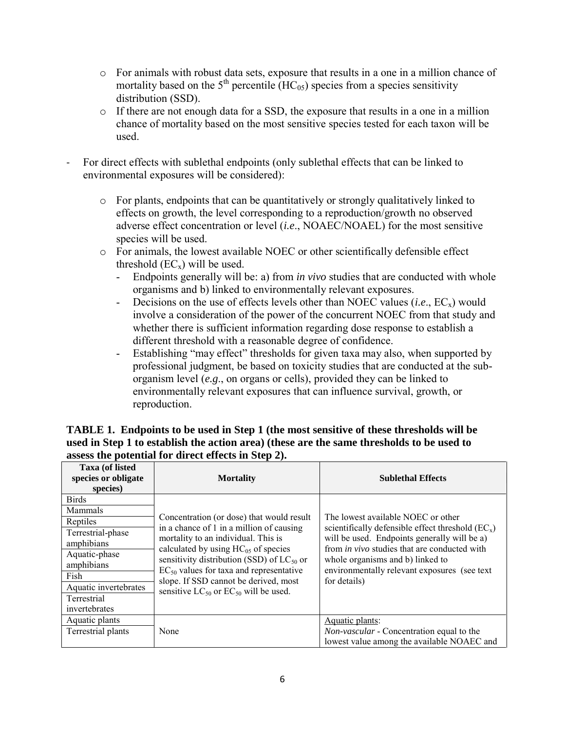- o For animals with robust data sets, exposure that results in a one in a million chance of mortality based on the  $5<sup>th</sup>$  percentile (HC<sub>05</sub>) species from a species sensitivity distribution (SSD).
- o If there are not enough data for a SSD, the exposure that results in a one in a million chance of mortality based on the most sensitive species tested for each taxon will be used.
- For direct effects with sublethal endpoints (only sublethal effects that can be linked to environmental exposures will be considered):
	- $\circ$  For plants, endpoints that can be quantitatively or strongly qualitatively linked to effects on growth, the level corresponding to a reproduction/growth no observed adverse effect concentration or level (*i.e*., NOAEC/NOAEL) for the most sensitive species will be used.
	- o For animals, the lowest available NOEC or other scientifically defensible effect threshold  $(EC_x)$  will be used.
		- Endpoints generally will be: a) from *in vivo* studies that are conducted with whole organisms and b) linked to environmentally relevant exposures.
		- Decisions on the use of effects levels other than NOEC values  $(i.e., EC_x)$  would involve a consideration of the power of the concurrent NOEC from that study and whether there is sufficient information regarding dose response to establish a different threshold with a reasonable degree of confidence.
		- Establishing "may effect" thresholds for given taxa may also, when supported by professional judgment, be based on toxicity studies that are conducted at the suborganism level (*e.g*., on organs or cells), provided they can be linked to environmentally relevant exposures that can influence survival, growth, or reproduction.

| <b>Taxa (of listed)</b><br>species or obligate<br>species) | <b>Mortality</b>                                                                | <b>Sublethal Effects</b>                                                                            |
|------------------------------------------------------------|---------------------------------------------------------------------------------|-----------------------------------------------------------------------------------------------------|
| <b>Birds</b>                                               |                                                                                 |                                                                                                     |
| <b>Mammals</b>                                             |                                                                                 |                                                                                                     |
| Reptiles                                                   | Concentration (or dose) that would result                                       | The lowest available NOEC or other                                                                  |
| Terrestrial-phase                                          | in a chance of 1 in a million of causing<br>mortality to an individual. This is | scientifically defensible effect threshold $(EC_x)$<br>will be used. Endpoints generally will be a) |
| amphibians                                                 | calculated by using $HC_{05}$ of species                                        | from <i>in vivo</i> studies that are conducted with                                                 |
| Aquatic-phase                                              | sensitivity distribution (SSD) of $LC_{50}$ or                                  | whole organisms and b) linked to                                                                    |
| amphibians                                                 | $EC_{50}$ values for taxa and representative                                    | environmentally relevant exposures (see text)                                                       |
| Fish                                                       | slope. If SSD cannot be derived, most                                           | for details)                                                                                        |
| Aquatic invertebrates                                      | sensitive $LC_{50}$ or $EC_{50}$ will be used.                                  |                                                                                                     |
| Terrestrial                                                |                                                                                 |                                                                                                     |
| invertebrates                                              |                                                                                 |                                                                                                     |
| Aquatic plants                                             |                                                                                 | Aquatic plants:                                                                                     |
| Terrestrial plants                                         | None                                                                            | <i>Non-vascular</i> - Concentration equal to the                                                    |
|                                                            |                                                                                 | lowest value among the available NOAEC and                                                          |

### **TABLE 1. Endpoints to be used in Step 1 (the most sensitive of these thresholds will be used in Step 1 to establish the action area) (these are the same thresholds to be used to assess the potential for direct effects in Step 2).**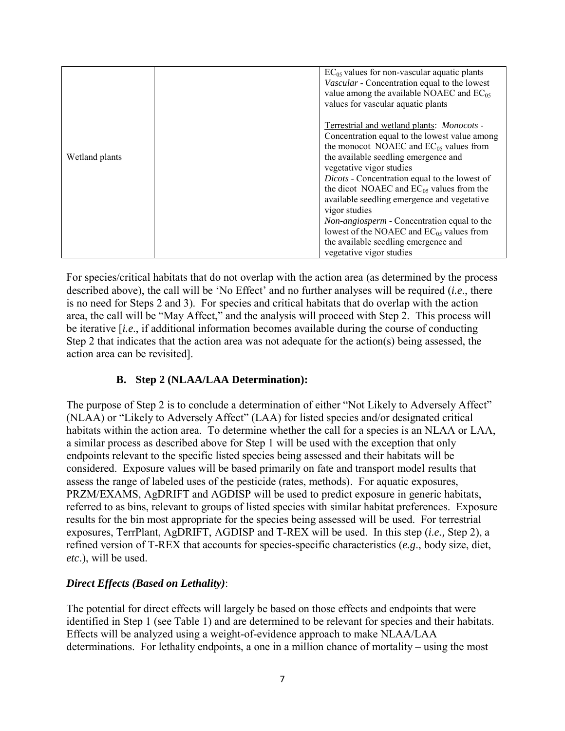|                | $EC_{05}$ values for non-vascular aquatic plants<br>Vascular - Concentration equal to the lowest<br>value among the available NOAEC and $EC_{05}$<br>values for vascular aquatic plants                                                                                                                                                                                                                                                                                                                                                              |
|----------------|------------------------------------------------------------------------------------------------------------------------------------------------------------------------------------------------------------------------------------------------------------------------------------------------------------------------------------------------------------------------------------------------------------------------------------------------------------------------------------------------------------------------------------------------------|
| Wetland plants | Terrestrial and wetland plants: Monocots -<br>Concentration equal to the lowest value among<br>the monocot NOAEC and $EC_{05}$ values from<br>the available seedling emergence and<br>vegetative vigor studies<br>Dicots - Concentration equal to the lowest of<br>the dicot NOAEC and $EC_{05}$ values from the<br>available seedling emergence and vegetative<br>vigor studies<br>Non-angiosperm - Concentration equal to the<br>lowest of the NOAEC and $EC_{05}$ values from<br>the available seedling emergence and<br>vegetative vigor studies |

For species/critical habitats that do not overlap with the action area (as determined by the process described above), the call will be 'No Effect' and no further analyses will be required (*i.e*., there is no need for Steps 2 and 3). For species and critical habitats that do overlap with the action area, the call will be "May Affect," and the analysis will proceed with Step 2. This process will be iterative [*i.e*., if additional information becomes available during the course of conducting Step 2 that indicates that the action area was not adequate for the action(s) being assessed, the action area can be revisited].

# **B. Step 2 (NLAA/LAA Determination):**

The purpose of Step 2 is to conclude a determination of either "Not Likely to Adversely Affect" (NLAA) or "Likely to Adversely Affect" (LAA) for listed species and/or designated critical habitats within the action area. To determine whether the call for a species is an NLAA or LAA, a similar process as described above for Step 1 will be used with the exception that only endpoints relevant to the specific listed species being assessed and their habitats will be considered. Exposure values will be based primarily on fate and transport model results that assess the range of labeled uses of the pesticide (rates, methods). For aquatic exposures, PRZM/EXAMS, AgDRIFT and AGDISP will be used to predict exposure in generic habitats, referred to as bins, relevant to groups of listed species with similar habitat preferences. Exposure results for the bin most appropriate for the species being assessed will be used. For terrestrial exposures, TerrPlant, AgDRIFT, AGDISP and T-REX will be used. In this step (*i.e.,* Step 2), a refined version of T-REX that accounts for species-specific characteristics (*e.g*., body size, diet, *etc*.), will be used.

# *Direct Effects (Based on Lethality)*:

The potential for direct effects will largely be based on those effects and endpoints that were identified in Step 1 (see Table 1) and are determined to be relevant for species and their habitats. Effects will be analyzed using a weight-of-evidence approach to make NLAA/LAA determinations. For lethality endpoints, a one in a million chance of mortality – using the most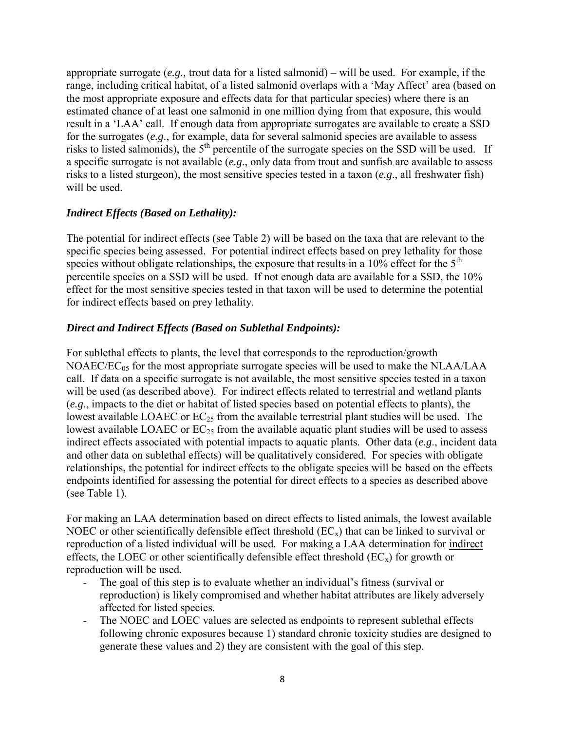appropriate surrogate (*e.g.,* trout data for a listed salmonid) – will be used. For example, if the range, including critical habitat, of a listed salmonid overlaps with a 'May Affect' area (based on the most appropriate exposure and effects data for that particular species) where there is an estimated chance of at least one salmonid in one million dying from that exposure, this would result in a 'LAA' call. If enough data from appropriate surrogates are available to create a SSD for the surrogates (*e.g*., for example, data for several salmonid species are available to assess risks to listed salmonids), the  $5<sup>th</sup>$  percentile of the surrogate species on the SSD will be used. If a specific surrogate is not available (*e.g*., only data from trout and sunfish are available to assess risks to a listed sturgeon), the most sensitive species tested in a taxon (*e.g*., all freshwater fish) will be used.

### *Indirect Effects (Based on Lethality):*

The potential for indirect effects (see Table 2) will be based on the taxa that are relevant to the specific species being assessed. For potential indirect effects based on prey lethality for those species without obligate relationships, the exposure that results in a  $10\%$  effect for the  $5<sup>th</sup>$ percentile species on a SSD will be used. If not enough data are available for a SSD, the 10% effect for the most sensitive species tested in that taxon will be used to determine the potential for indirect effects based on prey lethality.

### *Direct and Indirect Effects (Based on Sublethal Endpoints):*

For sublethal effects to plants, the level that corresponds to the reproduction/growth  $NOAEC/EC_{05}$  for the most appropriate surrogate species will be used to make the  $NLAA/LAA$ call. If data on a specific surrogate is not available, the most sensitive species tested in a taxon will be used (as described above). For indirect effects related to terrestrial and wetland plants (*e.g*., impacts to the diet or habitat of listed species based on potential effects to plants), the lowest available LOAEC or  $EC_{25}$  from the available terrestrial plant studies will be used. The lowest available LOAEC or  $EC_{25}$  from the available aquatic plant studies will be used to assess indirect effects associated with potential impacts to aquatic plants. Other data (*e.g*., incident data and other data on sublethal effects) will be qualitatively considered. For species with obligate relationships, the potential for indirect effects to the obligate species will be based on the effects endpoints identified for assessing the potential for direct effects to a species as described above (see Table 1).

For making an LAA determination based on direct effects to listed animals, the lowest available NOEC or other scientifically defensible effect threshold  $(EC_x)$  that can be linked to survival or reproduction of a listed individual will be used. For making a LAA determination for indirect effects, the LOEC or other scientifically defensible effect threshold  $(EC_x)$  for growth or reproduction will be used.

- The goal of this step is to evaluate whether an individual's fitness (survival or reproduction) is likely compromised and whether habitat attributes are likely adversely affected for listed species.
- The NOEC and LOEC values are selected as endpoints to represent sublethal effects following chronic exposures because 1) standard chronic toxicity studies are designed to generate these values and 2) they are consistent with the goal of this step.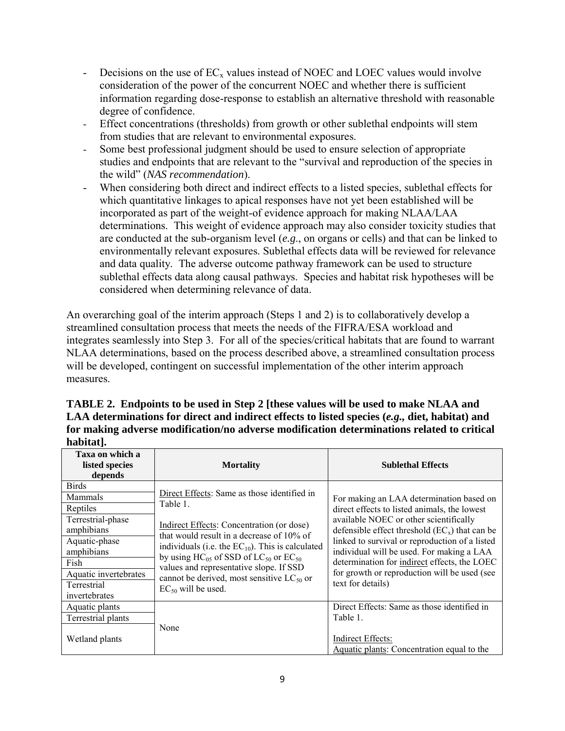- Decisions on the use of  $EC_x$  values instead of NOEC and LOEC values would involve consideration of the power of the concurrent NOEC and whether there is sufficient information regarding dose-response to establish an alternative threshold with reasonable degree of confidence.
- Effect concentrations (thresholds) from growth or other sublethal endpoints will stem from studies that are relevant to environmental exposures.
- Some best professional judgment should be used to ensure selection of appropriate studies and endpoints that are relevant to the "survival and reproduction of the species in the wild" (*NAS recommendation*).
- When considering both direct and indirect effects to a listed species, sublethal effects for which quantitative linkages to apical responses have not yet been established will be incorporated as part of the weight-of evidence approach for making NLAA/LAA determinations. This weight of evidence approach may also consider toxicity studies that are conducted at the sub-organism level (*e.g*., on organs or cells) and that can be linked to environmentally relevant exposures. Sublethal effects data will be reviewed for relevance and data quality. The adverse outcome pathway framework can be used to structure sublethal effects data along causal pathways. Species and habitat risk hypotheses will be considered when determining relevance of data.

An overarching goal of the interim approach (Steps 1 and 2) is to collaboratively develop a streamlined consultation process that meets the needs of the FIFRA/ESA workload and integrates seamlessly into Step 3. For all of the species/critical habitats that are found to warrant NLAA determinations, based on the process described above, a streamlined consultation process will be developed, contingent on successful implementation of the other interim approach measures.

| TABLE 2. Endpoints to be used in Step 2 [these values will be used to make NLAA and            |  |  |  |  |
|------------------------------------------------------------------------------------------------|--|--|--|--|
| LAA determinations for direct and indirect effects to listed species (e.g., diet, habitat) and |  |  |  |  |
| for making adverse modification/no adverse modification determinations related to critical     |  |  |  |  |
| habitat].                                                                                      |  |  |  |  |

| Taxa on which a<br>listed species<br>depends                                                                                                                           | <b>Mortality</b>                                                                                                                                                                                                                                                                                                                                                                          | <b>Sublethal Effects</b>                                                                                                                                                                                                                                                                                                                                                                                   |
|------------------------------------------------------------------------------------------------------------------------------------------------------------------------|-------------------------------------------------------------------------------------------------------------------------------------------------------------------------------------------------------------------------------------------------------------------------------------------------------------------------------------------------------------------------------------------|------------------------------------------------------------------------------------------------------------------------------------------------------------------------------------------------------------------------------------------------------------------------------------------------------------------------------------------------------------------------------------------------------------|
| <b>Birds</b><br>Mammals<br>Reptiles<br>Terrestrial-phase<br>amphibians<br>Aquatic-phase<br>amphibians<br>Fish<br>Aquatic invertebrates<br>Terrestrial<br>invertebrates | Direct Effects: Same as those identified in<br>Table 1.<br>Indirect Effects: Concentration (or dose)<br>that would result in a decrease of 10% of<br>individuals (i.e. the $EC_{10}$ ). This is calculated<br>by using $HC_{05}$ of SSD of $LC_{50}$ or $EC_{50}$<br>values and representative slope. If SSD<br>cannot be derived, most sensitive $LC_{50}$ or<br>$EC_{50}$ will be used. | For making an LAA determination based on<br>direct effects to listed animals, the lowest<br>available NOEC or other scientifically<br>defensible effect threshold $(EC_x)$ that can be<br>linked to survival or reproduction of a listed<br>individual will be used. For making a LAA<br>determination for indirect effects, the LOEC<br>for growth or reproduction will be used (see<br>text for details) |
| Aquatic plants                                                                                                                                                         |                                                                                                                                                                                                                                                                                                                                                                                           | Direct Effects: Same as those identified in                                                                                                                                                                                                                                                                                                                                                                |
| Terrestrial plants<br>Wetland plants                                                                                                                                   | None                                                                                                                                                                                                                                                                                                                                                                                      | Table 1.<br>Indirect Effects:<br>Aquatic plants: Concentration equal to the                                                                                                                                                                                                                                                                                                                                |